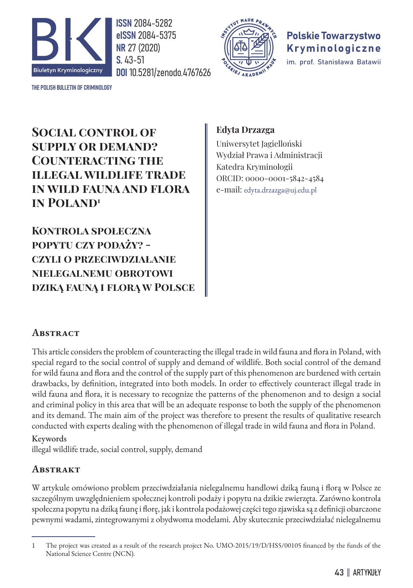

ISSN 2084-5282 eISSN 2084-5375 NR 27 (2020) S. 43-51 DOI 10.5281/zenodo.4767626



Polskie Towarzystwo Kryminologiczne

im. prof. Stanisława Batawii

THE POLISH BULLETIN OF CRIMINOI OGY

# **Social control of supply or demand? Counteracting the illegal wildlife trade in wild fauna and flora in Poland<sup>1</sup>**

**Kontrola społeczna popytu czy podaży? czyli o przeciwdziałanie nielegalnemu obrotowi dziką fauną i florą w Polsce**

### **Edyta Drzazga**

Uniwersytet Jagielloński Wydział Prawa i Administracji Katedra Kryminologii ORCID: 0000-0001-5842-4584 e-mail: edyta.drzazga@uj.edu.pl

### **Abstract**

This article considers the problem of counteracting the illegal trade in wild fauna and flora in Poland, with special regard to the social control of supply and demand of wildlife. Both social control of the demand for wild fauna and flora and the control of the supply part of this phenomenon are burdened with certain drawbacks, by definition, integrated into both models. In order to effectively counteract illegal trade in wild fauna and flora, it is necessary to recognize the patterns of the phenomenon and to design a social and criminal policy in this area that will be an adequate response to both the supply of the phenomenon and its demand. The main aim of the project was therefore to present the results of qualitative research conducted with experts dealing with the phenomenon of illegal trade in wild fauna and flora in Poland.

#### Keywords

illegal wildlife trade, social control, supply, demand

### **Abstrakt**

W artykule omówiono problem przeciwdziałania nielegalnemu handlowi dziką fauną i florą w Polsce ze szczególnym uwzględnieniem społecznej kontroli podaży i popytu na dzikie zwierzęta. Zarówno kontrola społeczna popytu na dziką faunę i florę, jak i kontrola podażowej części tego zjawiska są z definicji obarczone pewnymi wadami, zintegrowanymi z obydwoma modelami. Aby skutecznie przeciwdziałać nielegalnemu

<sup>1</sup> The project was created as a result of the research project No. UMO-2015/19/D/HS5/00105 financed by the funds of the National Science Centre (NCN).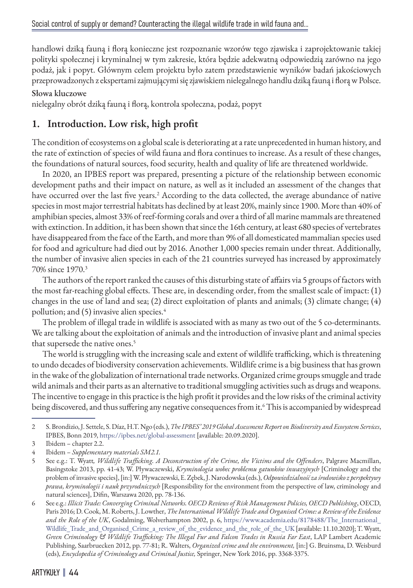handlowi dziką fauną i florą konieczne jest rozpoznanie wzorów tego zjawiska i zaprojektowanie takiej polityki społecznej i kryminalnej w tym zakresie, która będzie adekwatną odpowiedzią zarówno na jego podaż, jak i popyt. Głównym celem projektu było zatem przedstawienie wyników badań jakościowych przeprowadzonych z ekspertami zajmującymi się zjawiskiem nielegalnego handlu dziką fauną i florą w Polsce.

#### Słowa kluczowe

nielegalny obrót dziką fauną i florą, kontrola społeczna, podaż, popyt

## **1. Introduction. Low risk, high profit**

The condition of ecosystems on a global scale is deteriorating at a rate unprecedented in human history, and the rate of extinction of species of wild fauna and flora continues to increase. As a result of these changes, the foundations of natural sources, food security, health and quality of life are threatened worldwide.

In 2020, an IPBES report was prepared, presenting a picture of the relationship between economic development paths and their impact on nature, as well as it included an assessment of the changes that have occurred over the last five years.<sup>2</sup> According to the data collected, the average abundance of native species in most major terrestrial habitats has declined by at least 20%, mainly since 1900. More than 40% of amphibian species, almost 33% of reef-forming corals and over a third of all marine mammals are threatened with extinction. In addition, it has been shown that since the 16th century, at least 680 species of vertebrates have disappeared from the face of the Earth, and more than 9% of all domesticated mammalian species used for food and agriculture had died out by 2016. Another 1,000 species remain under threat. Additionally, the number of invasive alien species in each of the 21 countries surveyed has increased by approximately 70% since 1970.3

The authors of the report ranked the causes of this disturbing state of affairs via 5 groups of factors with the most far-reaching global effects. These are, in descending order, from the smallest scale of impact: (1) changes in the use of land and sea; (2) direct exploitation of plants and animals; (3) climate change; (4) pollution; and (5) invasive alien species.<sup>4</sup>

The problem of illegal trade in wildlife is associated with as many as two out of the 5 co-determinants. We are talking about the exploitation of animals and the introduction of invasive plant and animal species that supersede the native ones.<sup>5</sup>

The world is struggling with the increasing scale and extent of wildlife trafficking, which is threatening to undo decades of biodiversity conservation achievements. Wildlife crime is a big business that has grown in the wake of the globalization of international trade networks. Organized crime groups smuggle and trade wild animals and their parts as an alternative to traditional smuggling activities such as drugs and weapons. The incentive to engage in this practice is the high profit it provides and the low risks of the criminal activity being discovered, and thus suffering any negative consequences from it.6 This is accompanied by widespread

<sup>2</sup> S. Brondizio, J. Settele, S. Díaz, H.T. Ngo (eds.), *The IPBES' 2019 Global Assessment Report on Biodiversity and Ecosystem Services*, IPBES, Bonn 2019,<https://ipbes.net/global-assessment> [available: 20.09.2020].

<sup>3</sup> Ibidem – chapter 2.2.

<sup>4</sup> Ibidem – *Supplementary materials SM2.1.*

<sup>5</sup> See e.g.: T. Wyatt*, Wildlife Trafficking. A Deconstruction of the Crime, the Victims and the Offenders*, Palgrave Macmillan, Basingstoke 2013, pp. 41-43; W. Pływaczewski, *Kryminologia wobec problemu gatunków inwazyjnych* [Criminology and the problem of invasive species], [in:] W. Pływaczewski, E. Zębek, J. Narodowska (eds.), *Odpowiedzialność za środowisko z perspektywy prawa, kryminologii i nauk przyrodniczych* [Responsibility for the environment from the perspective of law, criminology and natural sciences], Difin, Warszawa 2020, pp. 78-136.

<sup>6</sup> See e.g.: *Illicit Trade: Converging Criminal Networks. OECD Reviews of Risk Management Policies, OECD Publishing*, OECD, Paris 2016; D. Cook, M. Roberts, J. Lowther, *The International Wildlife Trade and Organised Crime: a Review of the Evidence and the Role of the UK*, Godalming, Wolverhampton 2002, p. 6, [https://www.academia.edu/8178488/The\\_International\\_](https://www.academia.edu/8178488/The_International_Wildlife_Trade_and_Organised_Crime_a_review_of_th) [Wildlife\\_Trade\\_and\\_Organised\\_Crime\\_a\\_review\\_of\\_the\\_evidence\\_and\\_the\\_role\\_of\\_the\\_UK](https://www.academia.edu/8178488/The_International_Wildlife_Trade_and_Organised_Crime_a_review_of_th) [available: 11.10.2020]; T. Wyatt, *Green Criminology & Wildlife Trafficking: The Illegal Fur and Falcon Trades in Russia Far East*, LAP Lambert Academic Publishing, Saarbruecken 2012, pp. 77-81; R. Walters, *Organized crime and the environment,* [in:] G. Bruinsma, D. Weisburd (eds), *Encyclopedia of Criminology and Criminal Justice,* Springer, New York 2016, pp. 3368-3375.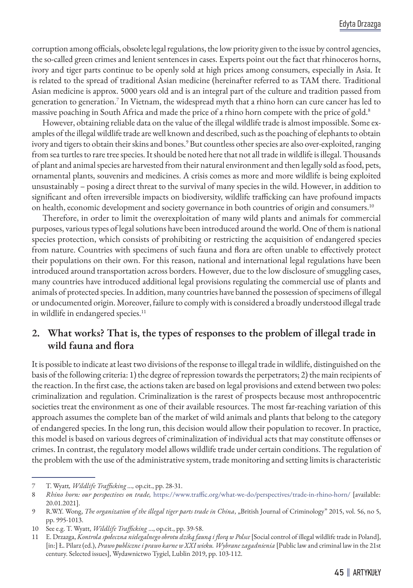corruption among officials, obsolete legal regulations, the low priority given to the issue by control agencies, the so-called green crimes and lenient sentences in cases. Experts point out the fact that rhinoceros horns, ivory and tiger parts continue to be openly sold at high prices among consumers, especially in Asia. It is related to the spread of traditional Asian medicine (hereinafter referred to as TAM there. Traditional Asian medicine is approx. 5000 years old and is an integral part of the culture and tradition passed from generation to generation.7 In Vietnam, the widespread myth that a rhino horn can cure cancer has led to massive poaching in South Africa and made the price of a rhino horn compete with the price of gold.8

However, obtaining reliable data on the value of the illegal wildlife trade is almost impossible. Some examples of the illegal wildlife trade are well known and described, such as the poaching of elephants to obtain ivory and tigers to obtain their skins and bones.' But countless other species are also over-exploited, ranging from sea turtles to rare tree species. It should be noted here that not all trade in wildlife is illegal. Thousands of plant and animal species are harvested from their natural environment and then legally sold as food, pets, ornamental plants, souvenirs and medicines. A crisis comes as more and more wildlife is being exploited unsustainably – posing a direct threat to the survival of many species in the wild. However, in addition to significant and often irreversible impacts on biodiversity, wildlife trafficking can have profound impacts on health, economic development and society governance in both countries of origin and consumers.<sup>10</sup>

Therefore, in order to limit the overexploitation of many wild plants and animals for commercial purposes, various types of legal solutions have been introduced around the world. One of them is national species protection, which consists of prohibiting or restricting the acquisition of endangered species from nature. Countries with specimens of such fauna and flora are often unable to effectively protect their populations on their own. For this reason, national and international legal regulations have been introduced around transportation across borders. However, due to the low disclosure of smuggling cases, many countries have introduced additional legal provisions regulating the commercial use of plants and animals of protected species. In addition, many countries have banned the possession of specimens of illegal or undocumented origin. Moreover, failure to comply with is considered a broadly understood illegal trade in wildlife in endangered species.<sup>11</sup>

### **2. What works? That is, the types of responses to the problem of illegal trade in wild fauna and flora**

It is possible to indicate at least two divisions of the response to illegal trade in wildlife, distinguished on the basis of the following criteria: 1) the degree of repression towards the perpetrators; 2) the main recipients of the reaction. In the first case, the actions taken are based on legal provisions and extend between two poles: criminalization and regulation. Criminalization is the rarest of prospects because most anthropocentric societies treat the environment as one of their available resources. The most far-reaching variation of this approach assumes the complete ban of the market of wild animals and plants that belong to the category of endangered species. In the long run, this decision would allow their population to recover. In practice, this model is based on various degrees of criminalization of individual acts that may constitute offenses or crimes. In contrast, the regulatory model allows wildlife trade under certain conditions. The regulation of the problem with the use of the administrative system, trade monitoring and setting limits is characteristic

<sup>7</sup> T. Wyatt*, Wildlife Trafficking …,* op.cit., pp. 28-31.

<sup>8</sup> *Rhino horn: our perspectives on trade,* <https://www.traffic.org/what-we-do/perspectives/trade-in-rhino-horn/> [available: 20.01.2021].

R.W.Y. Wong, *The organization of the illegal tiger parts trade in China*, "British Journal of Criminology" 2015, vol. 56, no 5, pp. 995-1013.

<sup>10</sup> See e.g. T. Wyatt, *Wildlife Trafficking* …, op.cit., pp. 39-58.

<sup>11</sup> E. Drzazga, *Kontrola społeczna nielegalnego obrotu dziką fauną i florą w Polsce* [Social control of illegal wildlife trade in Poland], [in:] Ł. Pilarz (ed.), *Prawo publiczne i prawo karne w XXI wieku. Wybrane zagadnienia* [Public law and criminal law in the 21st century. Selected issues], Wydawnictwo Tygiel, Lublin 2019, pp. 103-112.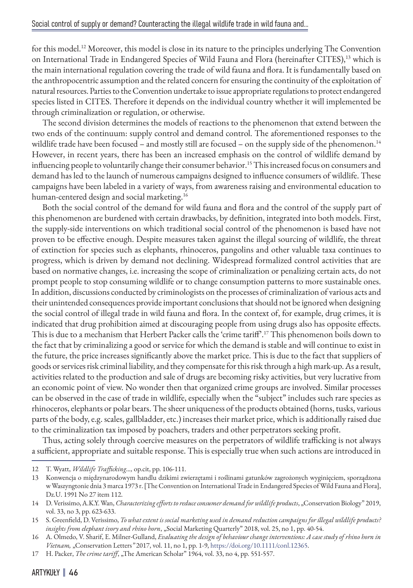for this model.<sup>12</sup> Moreover, this model is close in its nature to the principles underlying The Convention on International Trade in Endangered Species of Wild Fauna and Flora (hereinafter CITES),13 which is the main international regulation covering the trade of wild fauna and flora. It is fundamentally based on the anthropocentric assumption and the related concern for ensuring the continuity of the exploitation of natural resources. Parties to the Convention undertake to issue appropriate regulations to protect endangered species listed in CITES. Therefore it depends on the individual country whether it will implemented be through criminalization or regulation, or otherwise.

The second division determines the models of reactions to the phenomenon that extend between the two ends of the continuum: supply control and demand control. The aforementioned responses to the wildlife trade have been focused – and mostly still are focused – on the supply side of the phenomenon.<sup>14</sup> However, in recent years, there has been an increased emphasis on the control of wildlife demand by influencing people to voluntarily change their consumer behavior.<sup>15</sup> This increased focus on consumers and demand has led to the launch of numerous campaigns designed to influence consumers of wildlife. These campaigns have been labeled in a variety of ways, from awareness raising and environmental education to human-centered design and social marketing.<sup>16</sup>

Both the social control of the demand for wild fauna and flora and the control of the supply part of this phenomenon are burdened with certain drawbacks, by definition, integrated into both models. First, the supply-side interventions on which traditional social control of the phenomenon is based have not proven to be effective enough. Despite measures taken against the illegal sourcing of wildlife, the threat of extinction for species such as elephants, rhinoceros, pangolins and other valuable taxa continues to progress, which is driven by demand not declining. Widespread formalized control activities that are based on normative changes, i.e. increasing the scope of criminalization or penalizing certain acts, do not prompt people to stop consuming wildlife or to change consumption patterns to more sustainable ones. In addition, discussions conducted by criminologists on the processes of criminalization of various acts and their unintended consequences provide important conclusions that should not be ignored when designing the social control of illegal trade in wild fauna and flora. In the context of, for example, drug crimes, it is indicated that drug prohibition aimed at discouraging people from using drugs also has opposite effects. This is due to a mechanism that Herbert Packer calls the 'crime tariff'.17 This phenomenon boils down to the fact that by criminalizing a good or service for which the demand is stable and will continue to exist in the future, the price increases significantly above the market price. This is due to the fact that suppliers of goods or services risk criminal liability, and they compensate for this risk through a high mark-up. As a result, activities related to the production and sale of drugs are becoming risky activities, but very lucrative from an economic point of view. No wonder then that organized crime groups are involved. Similar processes can be observed in the case of trade in wildlife, especially when the "subject" includes such rare species as rhinoceros, elephants or polar bears. The sheer uniqueness of the products obtained (horns, tusks, various parts of the body, e.g. scales, gallbladder, etc.) increases their market price, which is additionally raised due to the criminalization tax imposed by poachers, traders and other perpetrators seeking profit.

Thus, acting solely through coercive measures on the perpetrators of wildlife trafficking is not always a sufficient, appropriate and suitable response. This is especially true when such actions are introduced in

<sup>12</sup> T. Wyatt, *Wildlife Trafficking...,* op.cit, pp. 106-111.

<sup>13</sup> Konwencja o międzynarodowym handlu dzikimi zwierzętami i roślinami gatunków zagrożonych wyginięciem, sporządzona w Waszyngtonie dnia 3 marca 1973 r. [The Convention on International Trade in Endangered Species of Wild Fauna and Flora], Dz.U. 1991 No 27 item 112.

<sup>14</sup> D. Verissimo, A.K.Y. Wan, *Characterizing efforts to reduce consumer demand for wildlife products*, "Conservation Biology" 2019, vol. 33, no 3, pp. 623-633.

<sup>15</sup> S. Greenfield, D. Verissimo, *To what extent is social marketing used in demand reduction campaigns for illegal wildlife products? insights from elephant ivory and rhino horn*, "Social Marketing Quarterly" 2018, vol. 25, no 1, pp. 40-54.

<sup>16</sup> A. Olmedo, V. Sharif, E. Milner‐Gulland, *Evaluating the design of behaviour change interventions: A case study of rhino horn in*  Vietnam, "Conservation Letters" 2017, vol. 11, no 1, pp. 1-9, [https://doi.org/10.1111/conl.12365.](https://doi.org/10.1111/conl.12365)

<sup>17</sup> H. Packer, *The crime tariff*, "The American Scholar" 1964, vol. 33, no 4, pp. 551-557.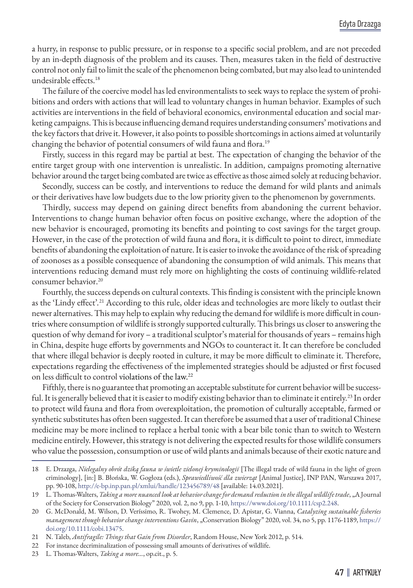a hurry, in response to public pressure, or in response to a specific social problem, and are not preceded by an in-depth diagnosis of the problem and its causes. Then, measures taken in the field of destructive control not only fail to limit the scale of the phenomenon being combated, but may also lead to unintended undesirable effects.18

The failure of the coercive model has led environmentalists to seek ways to replace the system of prohibitions and orders with actions that will lead to voluntary changes in human behavior. Examples of such activities are interventions in the field of behavioral economics, environmental education and social marketing campaigns. This is because influencing demand requires understanding consumers' motivations and the key factors that drive it. However, it also points to possible shortcomings in actions aimed at voluntarily changing the behavior of potential consumers of wild fauna and flora.<sup>19</sup>

Firstly, success in this regard may be partial at best. The expectation of changing the behavior of the entire target group with one intervention is unrealistic. In addition, campaigns promoting alternative behavior around the target being combated are twice as effective as those aimed solely at reducing behavior.

Secondly, success can be costly, and interventions to reduce the demand for wild plants and animals or their derivatives have low budgets due to the low priority given to the phenomenon by governments.

Thirdly, success may depend on gaining direct benefits from abandoning the current behavior. Interventions to change human behavior often focus on positive exchange, where the adoption of the new behavior is encouraged, promoting its benefits and pointing to cost savings for the target group. However, in the case of the protection of wild fauna and flora, it is difficult to point to direct, immediate benefits of abandoning the exploitation of nature. It is easier to invoke the avoidance of the risk of spreading of zoonoses as a possible consequence of abandoning the consumption of wild animals. This means that interventions reducing demand must rely more on highlighting the costs of continuing wildlife-related consumer behavior.<sup>20</sup>

Fourthly, the success depends on cultural contexts. This finding is consistent with the principle known as the 'Lindy effect'*.* 21 According to this rule, older ideas and technologies are more likely to outlast their newer alternatives. This may help to explain why reducing the demand for wildlife is more difficult in countries where consumption of wildlife is strongly supported culturally. This brings us closer to answering the question of why demand for ivory – a traditional sculptor's material for thousands of years – remains high in China, despite huge efforts by governments and NGOs to counteract it. It can therefore be concluded that where illegal behavior is deeply rooted in culture, it may be more difficult to eliminate it. Therefore, expectations regarding the effectiveness of the implemented strategies should be adjusted or first focused on less difficult to control violations of the law.22

Fifthly, there is no guarantee that promoting an acceptable substitute for current behavior will be successful. It is generally believed that it is easier to modify existing behavior than to eliminate it entirely.<sup>23</sup> In order to protect wild fauna and flora from overexploitation, the promotion of culturally acceptable, farmed or synthetic substitutes has often been suggested. It can therefore be assumed that a user of traditional Chinese medicine may be more inclined to replace a herbal tonic with a bear bile tonic than to switch to Western medicine entirely. However, this strategy is not delivering the expected results for those wildlife consumers who value the possession, consumption or use of wild plants and animals because of their exotic nature and

<sup>18</sup> E. Drzazga, *Nielegalny obrót dziką fauna w świetle zielonej kryminologii* [The illegal trade of wild fauna in the light of green criminology], [in:] B. Błońska, W. Gogłoza (eds.), *Sprawiedliwość dla zwierząt* [Animal Justice], INP PAN, Warszawa 2017, pp. 90-108,<http://e-bp.inp.pan.pl/xmlui/handle/123456789/48>[available: 14.03.2021].

<sup>19</sup> L. Thomas-Walters, *Taking a more nuanced look at behavior change for demand reduction in the illegal wildlife trade*, "A Journal of the Society for Conservation Biology" 2020, vol. 2, no 9, pp. 1-10,<https://www.doi.org/10.1111/csp2.248>.

<sup>20</sup> G. McDonald, M. Wilson, D. Veríssimo, R. Twohey, M. Clemence, D. Apistar, G. Vianna, *Catalyzing sustainable fisheries management though behavior change interventions Gavin*, "Conservation Biology" 2020, vol. 34, no 5, pp. 1176-1189, [https://](https://doi.org/10.1111/cobi.13475) [doi.org/10.1111/cobi.13475](https://doi.org/10.1111/cobi.13475).

<sup>21</sup> N. Taleb, *Antifragile: Things that Gain from Disorder*, Random House, New York 2012, p. 514.

<sup>22</sup> For instance decriminalization of possessing small amounts of derivatives of wildlife.

<sup>23</sup> L. Thomas-Walters, *Taking a more…*, op.cit., p. 5.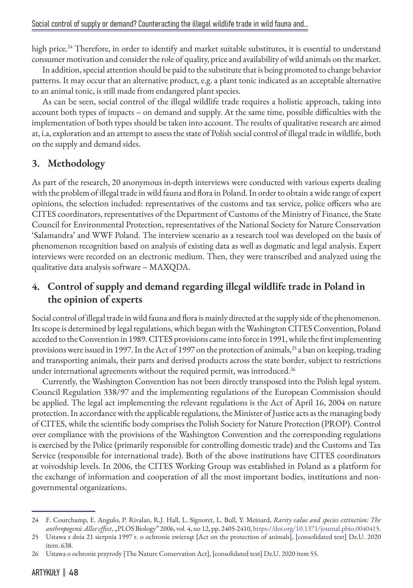high price.<sup>24</sup> Therefore, in order to identify and market suitable substitutes, it is essential to understand consumer motivation and consider the role of quality, price and availability of wild animals on the market.

In addition, special attention should be paid to the substitute that is being promoted to change behavior patterns. It may occur that an alternative product, e.g. a plant tonic indicated as an acceptable alternative to an animal tonic, is still made from endangered plant species.

As can be seen, social control of the illegal wildlife trade requires a holistic approach, taking into account both types of impacts – on demand and supply. At the same time, possible difficulties with the implementation of both types should be taken into account. The results of qualitative research are aimed at, i.a, exploration and an attempt to assess the state of Polish social control of illegal trade in wildlife, both on the supply and demand sides.

## **3. Methodology**

As part of the research, 20 anonymous in-depth interviews were conducted with various experts dealing with the problem of illegal trade in wild fauna and flora in Poland. In order to obtain a wide range of expert opinions, the selection included: representatives of the customs and tax service, police officers who are CITES coordinators, representatives of the Department of Customs of the Ministry of Finance, the State Council for Environmental Protection, representatives of the National Society for Nature Conservation 'Salamandra' and WWF Poland. The interview scenario as a research tool was developed on the basis of phenomenon recognition based on analysis of existing data as well as dogmatic and legal analysis. Expert interviews were recorded on an electronic medium. Then, they were transcribed and analyzed using the qualitative data analysis software – MAXQDA.

# **4. Control of supply and demand regarding illegal wildlife trade in Poland in the opinion of experts**

Social control of illegal trade in wild fauna and flora is mainly directed at the supply side of the phenomenon. Its scope is determined by legal regulations, which began with the Washington CITES Convention, Poland acceded to the Convention in 1989. CITES provisions came into force in 1991, while the first implementing provisions were issued in 1997. In the Act of 1997 on the protection of animals,<sup>25</sup> a ban on keeping, trading and transporting animals, their parts and derived products across the state border, subject to restrictions under international agreements without the required permit, was introduced.<sup>26</sup>

Currently, the Washington Convention has not been directly transposed into the Polish legal system. Council Regulation 338/97 and the implementing regulations of the European Commission should be applied. The legal act implementing the relevant regulations is the Act of April 16, 2004 on nature protection. In accordance with the applicable regulations, the Minister of Justice acts as the managing body of CITES, while the scientific body comprises the Polish Society for Nature Protection (PROP). Control over compliance with the provisions of the Washington Convention and the corresponding regulations is exercised by the Police (primarily responsible for controlling domestic trade) and the Customs and Tax Service (responsible for international trade). Both of the above institutions have CITES coordinators at voivodship levels. In 2006, the CITES Working Group was established in Poland as a platform for the exchange of information and cooperation of all the most important bodies, institutions and nongovernmental organizations.

<sup>24</sup> F. Courchamp, E. Angulo, P. Rivalan, R.J. Hall, L. Signoret, L. Bull, Y. Meinard, *Rarity value and species extinction: The anthropogenic Allee effect*, "PLOS Biology" 2006, vol. 4, no 12, pp. 2405-2410, [https://doi.org/10.1371/journal.pbio.0040415.](https://doi.org/10.1371/journal.pbio.0040415)

<sup>25</sup> Ustawa z dnia 21 sierpnia 1997 r. o ochronie zwierząt [Act on the protection of animals], [consolidated text] Dz.U. 2020 item. 638.

<sup>26</sup> Ustawa o ochronie przyrody [The Nature Conservation Act], [consolidated text] Dz.U. 2020 item 55.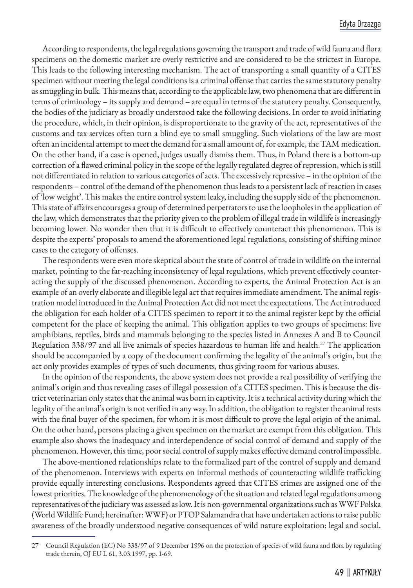According to respondents, the legal regulations governing the transport and trade of wild fauna and flora specimens on the domestic market are overly restrictive and are considered to be the strictest in Europe. This leads to the following interesting mechanism. The act of transporting a small quantity of a CITES specimen without meeting the legal conditions is a criminal offense that carries the same statutory penalty as smuggling in bulk. This means that, according to the applicable law, two phenomena that are different in terms of criminology – its supply and demand – are equal in terms of the statutory penalty. Consequently, the bodies of the judiciary as broadly understood take the following decisions. In order to avoid initiating the procedure, which, in their opinion, is disproportionate to the gravity of the act, representatives of the customs and tax services often turn a blind eye to small smuggling. Such violations of the law are most often an incidental attempt to meet the demand for a small amount of, for example, the TAM medication. On the other hand, if a case is opened, judges usually dismiss them. Thus, in Poland there is a bottom-up correction of a flawed criminal policy in the scope of the legally regulated degree of repression, which is still not differentiated in relation to various categories of acts. The excessively repressive – in the opinion of the respondents – control of the demand of the phenomenon thus leads to a persistent lack of reaction in cases of 'low weight'. This makes the entire control system leaky, including the supply side of the phenomenon. This state of affairs encourages a group of determined perpetrators to use the loopholes in the application of the law, which demonstrates that the priority given to the problem of illegal trade in wildlife is increasingly becoming lower. No wonder then that it is difficult to effectively counteract this phenomenon. This is despite the experts' proposals to amend the aforementioned legal regulations, consisting of shifting minor cases to the category of offenses.

The respondents were even more skeptical about the state of control of trade in wildlife on the internal market, pointing to the far-reaching inconsistency of legal regulations, which prevent effectively counteracting the supply of the discussed phenomenon. According to experts, the Animal Protection Act is an example of an overly elaborate and illegible legal act that requires immediate amendment. The animal registration model introduced in the Animal Protection Act did not meet the expectations. The Act introduced the obligation for each holder of a CITES specimen to report it to the animal register kept by the official competent for the place of keeping the animal. This obligation applies to two groups of specimens: live amphibians, reptiles, birds and mammals belonging to the species listed in Annexes A and B to Council Regulation 338/97 and all live animals of species hazardous to human life and health.27 The application should be accompanied by a copy of the document confirming the legality of the animal's origin, but the act only provides examples of types of such documents, thus giving room for various abuses.

In the opinion of the respondents, the above system does not provide a real possibility of verifying the animal's origin and thus revealing cases of illegal possession of a CITES specimen. This is because the district veterinarian only states that the animal was born in captivity. It is a technical activity during which the legality of the animal's origin is not verified in any way. In addition, the obligation to register the animal rests with the final buyer of the specimen, for whom it is most difficult to prove the legal origin of the animal. On the other hand, persons placing a given specimen on the market are exempt from this obligation. This example also shows the inadequacy and interdependence of social control of demand and supply of the phenomenon. However, this time, poor social control of supply makes effective demand control impossible.

The above-mentioned relationships relate to the formalized part of the control of supply and demand of the phenomenon. Interviews with experts on informal methods of counteracting wildlife trafficking provide equally interesting conclusions. Respondents agreed that CITES crimes are assigned one of the lowest priorities. The knowledge of the phenomenology of the situation and related legal regulations among representatives of the judiciary was assessed as low. It is non-governmental organizations such as WWF Polska (World Wildlife Fund; hereinafter: WWF) or PTOP Salamandra that have undertaken actions to raise public awareness of the broadly understood negative consequences of wild nature exploitation: legal and social.

<sup>27</sup> Council Regulation (EC) No 338/97 of 9 December 1996 on the protection of species of wild fauna and flora by regulating trade therein, OJ EU L 61, 3.03.1997, pp. 1-69.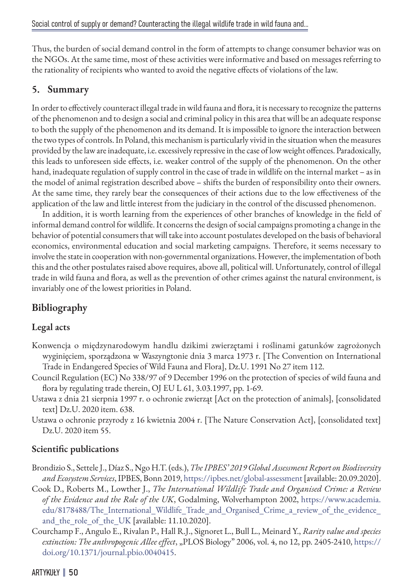Thus, the burden of social demand control in the form of attempts to change consumer behavior was on the NGOs. At the same time, most of these activities were informative and based on messages referring to the rationality of recipients who wanted to avoid the negative effects of violations of the law.

### **5. Summary**

In order to effectively counteract illegal trade in wild fauna and flora, it is necessary to recognize the patterns of the phenomenon and to design a social and criminal policy in this area that will be an adequate response to both the supply of the phenomenon and its demand. It is impossible to ignore the interaction between the two types of controls. In Poland, this mechanism is particularly vivid in the situation when the measures provided by the law are inadequate, i.e. excessively repressive in the case of low weight offences. Paradoxically, this leads to unforeseen side effects, i.e. weaker control of the supply of the phenomenon. On the other hand, inadequate regulation of supply control in the case of trade in wildlife on the internal market – as in the model of animal registration described above – shifts the burden of responsibility onto their owners. At the same time, they rarely bear the consequences of their actions due to the low effectiveness of the application of the law and little interest from the judiciary in the control of the discussed phenomenon.

In addition, it is worth learning from the experiences of other branches of knowledge in the field of informal demand control for wildlife. It concerns the design of social campaigns promoting a change in the behavior of potential consumers that will take into account postulates developed on the basis of behavioral economics, environmental education and social marketing campaigns. Therefore, it seems necessary to involve the state in cooperation with non-governmental organizations. However, the implementation of both this and the other postulates raised above requires, above all, political will. Unfortunately, control of illegal trade in wild fauna and flora, as well as the prevention of other crimes against the natural environment, is invariably one of the lowest priorities in Poland.

# **Bibliography**

### **Legal acts**

- Konwencja o międzynarodowym handlu dzikimi zwierzętami i roślinami gatunków zagrożonych wyginięciem, sporządzona w Waszyngtonie dnia 3 marca 1973 r. [The Convention on International Trade in Endangered Species of Wild Fauna and Flora], Dz.U. 1991 No 27 item 112.
- Council Regulation (EC) No 338/97 of 9 December 1996 on the protection of species of wild fauna and flora by regulating trade therein, OJ EU L 61, 3.03.1997, pp. 1-69.
- Ustawa z dnia 21 sierpnia 1997 r. o ochronie zwierząt [Act on the protection of animals], [consolidated text] Dz.U. 2020 item. 638.
- Ustawa o ochronie przyrody z 16 kwietnia 2004 r. [The Nature Conservation Act], [consolidated text] Dz.U. 2020 item 55.

### **Scientific publications**

- Brondizio S., Settele J., Díaz S., Ngo H.T. (eds.), *The IPBES' 2019 Global Assessment Report on Biodiversity and Ecosystem Services*, IPBES, Bonn 2019,<https://ipbes.net/global-assessment>[available: 20.09.2020].
- Cook D., Roberts M., Lowther J., *The International Wildlife Trade and Organised Crime: a Review of the Evidence and the Role of the UK*, Godalming, Wolverhampton 2002, [https://www.academia.](https://www.academia.edu/8178488/The_International_Wildlife_Trade_and_Organised_Crime_a_review_of_th) edu/8178488/The International Wildlife\_Trade\_and\_Organised\_Crime\_a\_review\_of\_the\_evidence\_ and the role of the UK [available: 11.10.2020].
- Courchamp F., Angulo E., Rivalan P., Hall R.J., Signoret L., Bull L., Meinard Y., *Rarity value and species extinction: The anthropogenic Allee effect*, "PLOS Biology" 2006, vol. 4, no 12, pp. 2405-2410, [https://](https://doi.org/10.1371/journal.pbio.0040415) [doi.org/10.1371/journal.pbio.0040415](https://doi.org/10.1371/journal.pbio.0040415).